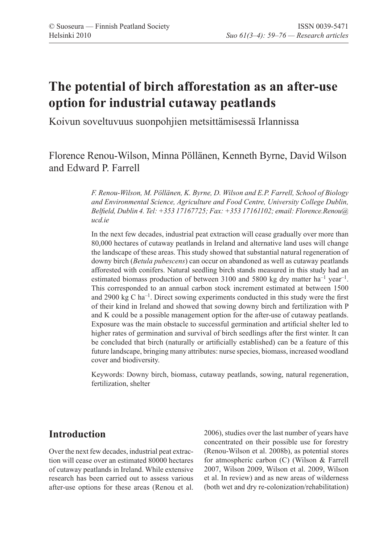# **The potential of birch afforestation as an after-use option for industrial cutaway peatlands**

Koivun soveltuvuus suonpohjien metsittämisessä Irlannissa

# Florence Renou-Wilson, Minna Pöllänen, Kenneth Byrne, David Wilson and Edward P. Farrell

*F. Renou-Wilson, M. Pöllänen, K. Byrne, D. Wilson and E.P. Farrell, School of Biology and Environmental Science, Agriculture and Food Centre, University College Dublin, Belfield, Dublin 4. Tel: +353 17167725; Fax: +353 17161102; email: Florence.Renou@ ucd.ie*

In the next few decades, industrial peat extraction will cease gradually over more than 80,000 hectares of cutaway peatlands in Ireland and alternative land uses will change the landscape of these areas. This study showed that substantial natural regeneration of downy birch (*Betula pubescens*) can occur on abandoned as well as cutaway peatlands afforested with conifers. Natural seedling birch stands measured in this study had an estimated biomass production of between 3100 and 5800 kg dry matter  $ha^{-1}$  year<sup>-1</sup>. This corresponded to an annual carbon stock increment estimated at between 1500 and 2900 kg C ha<sup>-1</sup>. Direct sowing experiments conducted in this study were the first of their kind in Ireland and showed that sowing downy birch and fertilization with P and K could be a possible management option for the after-use of cutaway peatlands. Exposure was the main obstacle to successful germination and artificial shelter led to higher rates of germination and survival of birch seedlings after the first winter. It can be concluded that birch (naturally or artificially established) can be a feature of this future landscape, bringing many attributes: nurse species, biomass, increased woodland cover and biodiversity.

Keywords: Downy birch, biomass, cutaway peatlands, sowing, natural regeneration, fertilization, shelter

# **Introduction**

Over the next few decades, industrial peat extraction will cease over an estimated 80000 hectares of cutaway peatlands in Ireland. While extensive research has been carried out to assess various after-use options for these areas (Renou et al. 2006), studies over the last number of years have concentrated on their possible use for forestry (Renou-Wilson et al. 2008b), as potential stores for atmospheric carbon (C) (Wilson & Farrell 2007, Wilson 2009, Wilson et al. 2009, Wilson et al. In review) and as new areas of wilderness (both wet and dry re-colonization/rehabilitation)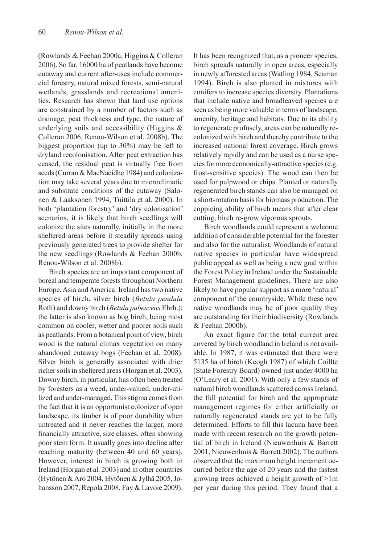(Rowlands & Feehan 2000a, Higgins & Colleran 2006). So far, 16000 ha of peatlands have become cutaway and current after-uses include commercial forestry, natural mixed forests, semi-natural wetlands, grasslands and recreational amenities. Research has shown that land use options are constrained by a number of factors such as drainage, peat thickness and type, the nature of underlying soils and accessibility (Higgins & Colleran 2006, Renou-Wilson et al. 2008b). The biggest proportion (up to 30%) may be left to dryland recolonisation. After peat extraction has ceased, the residual peat is virtually free from seeds (Curran & MacNaeidhe 1984) and colonization may take several years due to microclimatic and substrate conditions of the cutaway (Salonen & Laaksonen 1994, Tuittila et al. 2000). In both 'plantation forestry' and 'dry colonisation' scenarios, it is likely that birch seedlings will colonize the sites naturally, initially in the more sheltered areas before it steadily spreads using previously generated trees to provide shelter for the new seedlings (Rowlands & Feehan 2000b, Renou-Wilson et al. 2008b).

Birch species are an important component of boreal and temperate forests throughout Northern Europe, Asia and America. Ireland has two native species of birch, silver birch (*Betula pendula* Roth) and downy birch (*Betula pubescens* Ehrh.); the latter is also known as bog birch, being most common on cooler, wetter and poorer soils such as peatlands. From a botanical point of view, birch wood is the natural climax vegetation on many abandoned cutaway bogs (Feehan et al. 2008). Silver birch is generally associated with drier richer soils in sheltered areas (Horgan et al. 2003). Downy birch, in particular, has often been treated by foresters as a weed, under-valued, under-utilized and under-managed. This stigma comes from the fact that it is an opportunist colonizer of open landscape, its timber is of poor durability when untreated and it never reaches the larger, more financially attractive, size classes, often showing poor stem form. It usually goes into decline after reaching maturity (between 40 and 60 years). However, interest in birch is growing both in Ireland (Horgan et al. 2003) and in other countries (Hytönen & Aro 2004, Hytönen & Jylhä 2005, Johansson 2007, Repola 2008, Fay & Lavoie 2009).

It has been recognized that, as a pioneer species, birch spreads naturally in open areas, especially in newly afforested areas (Watling 1984, Seaman 1994). Birch is also planted in mixtures with conifers to increase species diversity. Plantations that include native and broadleaved species are seen as being more valuable in terms of landscape, amenity, heritage and habitats. Due to its ability to regenerate profusely, areas can be naturally recolonized with birch and thereby contribute to the increased national forest coverage. Birch grows relatively rapidly and can be used as a nurse species for more economically-attractive species (e.g. frost-sensitive species). The wood can then be used for pulpwood or chips. Planted or naturally regenerated birch stands can also be managed on a short-rotation basis for biomass production. The coppicing ability of birch means that after clear cutting, birch re-grow vigorous sprouts.

Birch woodlands could represent a welcome addition of considerable potential for the forester and also for the naturalist. Woodlands of natural native species in particular have widespread public appeal as well as being a new goal within the Forest Policy in Ireland under the Sustainable Forest Management guidelines. There are also likely to have popular support as a more 'natural' component of the countryside. While these new native woodlands may be of poor quality they are outstanding for their biodiversity (Rowlands & Feehan 2000b).

An exact figure for the total current area covered by birch woodland in Ireland is not available. In 1987, it was estimated that there were 5135 ha of birch (Keogh 1987) of which Coillte (State Forestry Board) owned just under 4000 ha (O'Leary et al. 2001). With only a few stands of natural birch woodlands scattered across Ireland, the full potential for birch and the appropriate management regimes for either artificially or naturally regenerated stands are yet to be fully determined. Efforts to fill this lacuna have been made with recent research on the growth potential of birch in Ireland (Nieuwenhuis & Barrett 2001, Nieuwenhuis & Barrett 2002). The authors observed that the maximum height increment occurred before the age of 20 years and the fastest growing trees achieved a height growth of >1m per year during this period. They found that a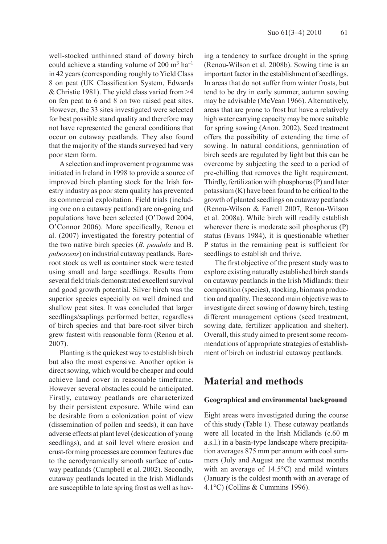well-stocked unthinned stand of downy birch could achieve a standing volume of 200  $\text{m}^3$  ha<sup>-1</sup> in 42 years (corresponding roughly to Yield Class 8 on peat (UK Classification System, Edwards & Christie 1981). The yield class varied from >4 on fen peat to 6 and 8 on two raised peat sites. However, the 33 sites investigated were selected for best possible stand quality and therefore may not have represented the general conditions that occur on cutaway peatlands. They also found that the majority of the stands surveyed had very poor stem form.

A selection and improvement programme was initiated in Ireland in 1998 to provide a source of improved birch planting stock for the Irish forestry industry as poor stem quality has prevented its commercial exploitation. Field trials (including one on a cutaway peatland) are on-going and populations have been selected (O'Dowd 2004, O'Connor 2006). More specifically, Renou et al. (2007) investigated the forestry potential of the two native birch species (*B. pendula* and B. *pubescens*) on industrial cutaway peatlands. Bareroot stock as well as container stock were tested using small and large seedlings. Results from several field trials demonstrated excellent survival and good growth potential. Silver birch was the superior species especially on well drained and shallow peat sites. It was concluded that larger seedlings/saplings performed better, regardless of birch species and that bare-root silver birch grew fastest with reasonable form (Renou et al. 2007).

Planting is the quickest way to establish birch but also the most expensive. Another option is direct sowing, which would be cheaper and could achieve land cover in reasonable timeframe. However several obstacles could be anticipated. Firstly, cutaway peatlands are characterized by their persistent exposure. While wind can be desirable from a colonization point of view (dissemination of pollen and seeds), it can have adverse effects at plant level (desiccation of young seedlings), and at soil level where erosion and crust-forming processes are common features due to the aerodynamically smooth surface of cutaway peatlands (Campbell et al. 2002). Secondly, cutaway peatlands located in the Irish Midlands are susceptible to late spring frost as well as having a tendency to surface drought in the spring (Renou-Wilson et al. 2008b). Sowing time is an important factor in the establishment of seedlings. In areas that do not suffer from winter frosts, but tend to be dry in early summer, autumn sowing may be advisable (McVean 1966). Alternatively, areas that are prone to frost but have a relatively high water carrying capacity may be more suitable for spring sowing (Anon. 2002). Seed treatment offers the possibility of extending the time of sowing. In natural conditions, germination of birch seeds are regulated by light but this can be overcome by subjecting the seed to a period of pre-chilling that removes the light requirement. Thirdly, fertilization with phosphorus (P) and later potassium (K) have been found to be critical to the growth of planted seedlings on cutaway peatlands (Renou-Wilson & Farrell 2007, Renou-Wilson et al. 2008a). While birch will readily establish wherever there is moderate soil phosphorus (P) status (Evans 1984), it is questionable whether P status in the remaining peat is sufficient for seedlings to establish and thrive.

The first objective of the present study was to explore existing naturally established birch stands on cutaway peatlands in the Irish Midlands: their composition (species), stocking, biomass production and quality. The second main objective was to investigate direct sowing of downy birch, testing different management options (seed treatment, sowing date, fertilizer application and shelter). Overall, this study aimed to present some recommendations of appropriate strategies of establishment of birch on industrial cutaway peatlands.

# **Material and methods**

#### **Geographical and environmental background**

Eight areas were investigated during the course of this study (Table 1). These cutaway peatlands were all located in the Irish Midlands (c.60 m a.s.l.) in a basin-type landscape where precipitation averages 875 mm per annum with cool summers (July and August are the warmest months with an average of 14.5°C) and mild winters (January is the coldest month with an average of 4.1°C) (Collins & Cummins 1996).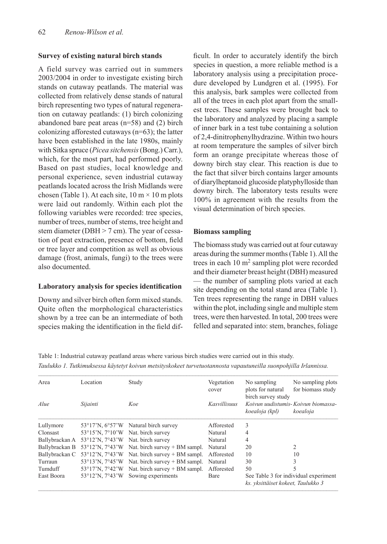# **Survey of existing natural birch stands**

A field survey was carried out in summers 2003/2004 in order to investigate existing birch stands on cutaway peatlands. The material was collected from relatively dense stands of natural birch representing two types of natural regeneration on cutaway peatlands: (1) birch colonizing abandoned bare peat areas (n=58) and (2) birch colonizing afforested cutaways (n=63); the latter have been established in the late 1980s, mainly with Sitka spruce (*Picea sitchensis* (Bong.) Carr.), which, for the most part, had performed poorly. Based on past studies, local knowledge and personal experience, seven industrial cutaway peatlands located across the Irish Midlands were chosen (Table 1). At each site,  $10 \text{ m} \times 10 \text{ m}$  plots were laid out randomly. Within each plot the following variables were recorded: tree species, number of trees, number of stems, tree height and stem diameter (DBH > 7 cm). The year of cessation of peat extraction, presence of bottom, field or tree layer and competition as well as obvious damage (frost, animals, fungi) to the trees were also documented.

# **Laboratory analysis for species identification**

Downy and silver birch often form mixed stands. Quite often the morphological characteristics shown by a tree can be an intermediate of both species making the identification in the field dif-

ficult. In order to accurately identify the birch species in question, a more reliable method is a laboratory analysis using a precipitation procedure developed by Lundgren et al. (1995). For this analysis, bark samples were collected from all of the trees in each plot apart from the smallest trees. These samples were brought back to the laboratory and analyzed by placing a sample of inner bark in a test tube containing a solution of 2,4-dinitrophenylhydrazine. Within two hours at room temperature the samples of silver birch form an orange precipitate whereas those of downy birch stay clear. This reaction is due to the fact that silver birch contains larger amounts of diarylheptanoid glucoside platyphylloside than downy birch. The laboratory tests results were 100% in agreement with the results from the visual determination of birch species.

# **Biomass sampling**

The biomass study was carried out at four cutaway areas during the summer months (Table 1). All the trees in each 10 m<sup>2</sup> sampling plot were recorded and their diameter breast height (DBH) measured — the number of sampling plots varied at each site depending on the total stand area (Table 1). Ten trees representing the range in DBH values within the plot, including single and multiple stem trees, were then harvested. In total, 200 trees were felled and separated into: stem, branches, foliage

Table 1: Industrial cutaway peatland areas where various birch studies were carried out in this study. *Taulukko 1. Tutkimuksessa käytetyt koivun metsityskokeet turvetuotannosta vapautuneilla suonpohjilla Irlannissa.*

| Location                                            | Study                           | Vegetation                          | No sampling                                                        | No sampling plots                     |
|-----------------------------------------------------|---------------------------------|-------------------------------------|--------------------------------------------------------------------|---------------------------------------|
|                                                     |                                 | cover                               | plots for natural                                                  | for biomass study                     |
|                                                     |                                 |                                     | birch survey study                                                 |                                       |
| Sijainti                                            | Koe                             | <b>Kasvillisuus</b>                 |                                                                    | Koivun uudistumis- Koivun biomassa-   |
|                                                     |                                 |                                     | koealoja (kpl)                                                     | koealoja                              |
|                                                     | Natural birch survey            | Afforested                          | 3                                                                  |                                       |
| $53^{\circ}15'$ N, $7^{\circ}10'$ W                 | Nat. birch survey               | Natural                             | 4                                                                  |                                       |
| $53^{\circ}12^{\prime}N$ , $7^{\circ}43^{\prime}W$  | Nat. birch survey               | Natural                             | 4                                                                  |                                       |
| $53^{\circ}12'$ N. $7^{\circ}43'$ W                 |                                 | Natural                             | 20                                                                 | $\mathfrak{D}$                        |
| $53^{\circ}12^{\prime}$ N, $7^{\circ}43^{\prime}$ W | Nat. birch survey $+$ BM sampl. | Afforested                          | 10                                                                 | 10                                    |
| $53^{\circ}13'$ N. $7^{\circ}45'$ W                 | Nat. birch survey $+$ BM sampl. | Natural                             | 30                                                                 | 3                                     |
| $53^{\circ}17'$ N, $7^{\circ}42'$ W                 |                                 | Afforested                          | 50                                                                 | 5                                     |
| $53^{\circ}12^{\prime}$ N. $7^{\circ}43^{\prime}$ W | Sowing experiments              | Bare                                | ks. yksittäiset kokeet, Taulukko 3                                 | See Table 3 for individual experiment |
|                                                     |                                 | $53^{\circ}17'$ N, $6^{\circ}57'$ W | Nat. birch survey $+$ BM sampl.<br>Nat. birch survey $+$ BM sampl. |                                       |

–––––––––––––––––––––––––––––––––––––––––––––––––––––––––––––––––––––––––––––––––––––––––––––––––––––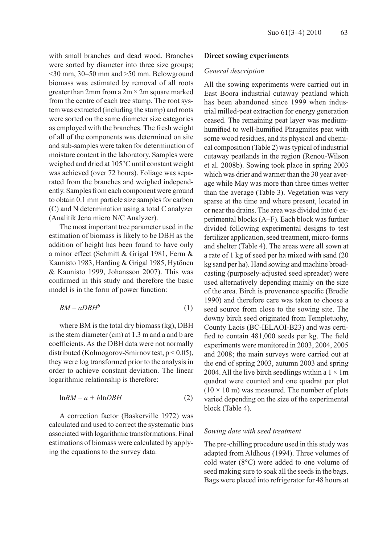with small branches and dead wood. Branches were sorted by diameter into three size groups; <30 mm, 30–50 mm and >50 mm. Belowground biomass was estimated by removal of all roots greater than 2mm from a  $2m \times 2m$  square marked from the centre of each tree stump. The root system was extracted (including the stump) and roots were sorted on the same diameter size categories as employed with the branches. The fresh weight of all of the components was determined on site and sub-samples were taken for determination of moisture content in the laboratory. Samples were weighed and dried at 105°C until constant weight was achieved (over 72 hours). Foliage was separated from the branches and weighed independently. Samples from each component were ground to obtain 0.1 mm particle size samples for carbon (C) and N determination using a total C analyzer (Analitik Jena micro N/C Analyzer).

The most important tree parameter used in the estimation of biomass is likely to be DBH as the addition of height has been found to have only a minor effect (Schmitt & Grigal 1981, Ferm & Kaunisto 1983, Harding & Grigal 1985, Hytönen & Kaunisto 1999, Johansson 2007). This was confirmed in this study and therefore the basic model is in the form of power function:

$$
BM = aDBH^b \tag{1}
$$

where BM is the total dry biomass (kg), DBH is the stem diameter (cm) at 1.3 m and a and b are coefficients. As the DBH data were not normally distributed (Kolmogorov-Smirnov test, p < 0.05), they were log transformed prior to the analysis in order to achieve constant deviation. The linear logarithmic relationship is therefore:

$$
lnBM = a + bhDBH
$$
 (2)

A correction factor (Baskerville 1972) was calculated and used to correct the systematic bias associated with logarithmic transformations. Final estimations of biomass were calculated by applying the equations to the survey data.

#### **Direct sowing experiments**

#### *General description*

All the sowing experiments were carried out in East Boora industrial cutaway peatland which has been abandoned since 1999 when industrial milled-peat extraction for energy generation ceased. The remaining peat layer was mediumhumified to well-humified Phragmites peat with some wood residues, and its physical and chemical composition (Table 2) was typical of industrial cutaway peatlands in the region (Renou-Wilson et al. 2008b). Sowing took place in spring 2003 which was drier and warmer than the 30 year average while May was more than three times wetter than the average (Table 3). Vegetation was very sparse at the time and where present, located in or near the drains. The area was divided into 6 experimental blocks (A–F). Each block was further divided following experimental designs to test fertilizer application, seed treatment, micro-forms and shelter (Table 4). The areas were all sown at a rate of 1 kg of seed per ha mixed with sand (20 kg sand per ha). Hand sowing and machine broadcasting (purposely-adjusted seed spreader) were used alternatively depending mainly on the size of the area. Birch is provenance specific (Brodie 1990) and therefore care was taken to choose a seed source from close to the sowing site. The downy birch seed originated from Templetuohy, County Laois (BC-IELAOI-B23) and was certified to contain 481,000 seeds per kg. The field experiments were monitored in 2003, 2004, 2005 and 2008; the main surveys were carried out at the end of spring 2003, autumn 2003 and spring 2004. All the live birch seedlings within a  $1 \times 1$ m quadrat were counted and one quadrat per plot  $(10 \times 10 \text{ m})$  was measured. The number of plots varied depending on the size of the experimental block (Table 4).

#### *Sowing date with seed treatment*

The pre-chilling procedure used in this study was adapted from Aldhous (1994). Three volumes of cold water (8°C) were added to one volume of seed making sure to soak all the seeds in the bags. Bags were placed into refrigerator for 48 hours at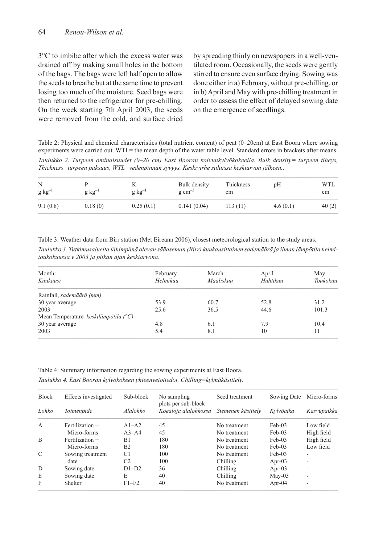3°C to imbibe after which the excess water was drained off by making small holes in the bottom of the bags. The bags were left half open to allow the seeds to breathe but at the same time to prevent losing too much of the moisture. Seed bags were then returned to the refrigerator for pre-chilling. On the week starting 7th April 2003, the seeds were removed from the cold, and surface dried

by spreading thinly on newspapers in a well-ventilated room. Occasionally, the seeds were gently stirred to ensure even surface drying. Sowing was done either in a) February, without pre-chilling, or in b) April and May with pre-chilling treatment in order to assess the effect of delayed sowing date on the emergence of seedlings.

Table 2: Physical and chemical characteristics (total nutrient content) of peat (0–20cm) at East Boora where sowing experiments were carried out. WTL= the mean depth of the water table level. Standard errors in brackets after means.

*Taulukko 2. Turpeen ominaisuudet (0–20 cm) East Booran koivunkylvökokeella. Bulk density= turpeen tiheys, Thickness=turpeen paksuus, WTL=vedenpinnan syvyys. Keskivirhe suluissa keskiarvon jälkeen..*

| N<br>$g kg^{-1}$ | $g\ kg^{-1}$ | $g \text{ kg}^{-1}$ | Bulk density<br>$g \text{ cm}^{-3}$ | Thickness<br>cm | pH       | WTL<br>cm |
|------------------|--------------|---------------------|-------------------------------------|-----------------|----------|-----------|
| 9.1(0.8)         | 0.18(0)      | 0.25(0.1)           | 0.141(0.04)                         | 113(11)         | 4.6(0.1) | 40(2)     |

Table 3: Weather data from Birr station (Met Eireann 2006), closest meteorological station to the study areas.

*Taulukko 3. Tutkimusalueita lähimpänä olevan sääaseman (Birr) kuukausittainen sademäärä ja ilman lämpötila helmitoukokuussa v 2003 ja pitkän ajan keskiarvona.*

| Month:                                           | February | March     | April    | May      |  |
|--------------------------------------------------|----------|-----------|----------|----------|--|
| Kuukausi                                         | Helmikuu | Maaliskuu | Huhtikuu | Toukokuu |  |
| Rainfall, sademäärä (mm)                         |          |           |          |          |  |
| 30 year average                                  | 53.9     | 60.7      | 52.8     | 31.2     |  |
| 2003                                             | 25.6     | 36.5      | 44.6     | 101.3    |  |
| Mean Temperature, keskilämpötila $(^{\circ}C)$ : |          |           |          |          |  |
| 30 year average                                  | 4.8      | 6.1       | 7.9      | 10.4     |  |
| 2003                                             | 5.4      | 8.1       | 10       | 11       |  |

Table 4: Summary information regarding the sowing experiments at East Boora.

*Taulukko 4. East Booran kylvökokeen yhteenvetotiedot. Chilling=kylmäkäsittely.*

| <b>Block</b>   | Effects investigated | Sub-block      | No sampling<br>plots per sub-block | Seed treatment     | Sowing Date | Micro-forms |
|----------------|----------------------|----------------|------------------------------------|--------------------|-------------|-------------|
| Lohko          | Toimenpide           | Alalohko       | Koealoja alalohkossa               | Siemenen käsittely | Kylvöaika   | Kasvupaikka |
| $\overline{A}$ | Fertilization +      | $A1-A2$        | 45                                 | No treatment       | $Feb-03$    | Low field   |
|                | Micro-forms          | $A3 - A4$      | 45                                 | No treatment       | $Feb-03$    | High field  |
| B              | Fertilization +      | B1             | 180                                | No treatment       | $Feb-03$    | High field  |
|                | Micro-forms          | B <sub>2</sub> | 180                                | No treatment       | $Feb-03$    | Low field   |
| C              | Sowing treatment +   | C <sub>1</sub> | 100                                | No treatment       | $Feb-03$    | ۰           |
|                | date                 | C <sub>2</sub> | 100                                | Chilling           | Apr- $03$   | ۰.          |
| D              | Sowing date          | $D1-D2$        | 36                                 | Chilling           | Apr- $03$   |             |
| E              | Sowing date          | E              | 40                                 | Chilling           | $May-03$    | ۰           |
| F              | Shelter              | $F1-F2$        | 40                                 | No treatment       | Apr- $04$   |             |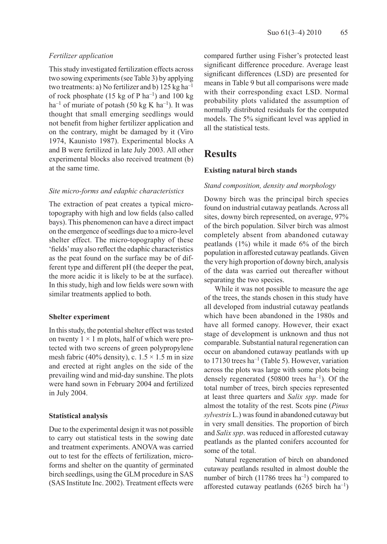### *Fertilizer application*

This study investigated fertilization effects across two sowing experiments (see Table 3) by applying two treatments: a) No fertilizer and b)  $125 \text{ kg ha}^{-1}$ of rock phosphate (15 kg of P ha<sup>-1</sup>) and 100 kg ha<sup>-1</sup> of muriate of potash (50 kg K ha<sup>-1</sup>). It was thought that small emerging seedlings would not benefit from higher fertilizer application and on the contrary, might be damaged by it (Viro 1974, Kaunisto 1987). Experimental blocks A and B were fertilized in late July 2003. All other experimental blocks also received treatment (b) at the same time.

#### *Site micro-forms and edaphic characteristics*

The extraction of peat creates a typical microtopography with high and low fields (also called bays). This phenomenon can have a direct impact on the emergence of seedlings due to a micro-level shelter effect. The micro-topography of these 'fields' may also reflect the edaphic characteristics as the peat found on the surface may be of different type and different pH (the deeper the peat, the more acidic it is likely to be at the surface). In this study, high and low fields were sown with similar treatments applied to both.

#### **Shelter experiment**

In this study, the potential shelter effect was tested on twenty  $1 \times 1$  m plots, half of which were protected with two screens of green polypropylene mesh fabric (40% density), c.  $1.5 \times 1.5$  m in size and erected at right angles on the side of the prevailing wind and mid-day sunshine. The plots were hand sown in February 2004 and fertilized in July 2004.

#### **Statistical analysis**

Due to the experimental design it was not possible to carry out statistical tests in the sowing date and treatment experiments. ANOVA was carried out to test for the effects of fertilization, microforms and shelter on the quantity of germinated birch seedlings, using the GLM procedure in SAS (SAS Institute Inc. 2002). Treatment effects were

compared further using Fisher's protected least significant difference procedure. Average least significant differences (LSD) are presented for means in Table 9 but all comparisons were made with their corresponding exact LSD. Normal probability plots validated the assumption of normally distributed residuals for the computed models. The 5% significant level was applied in all the statistical tests.

# **Results**

#### **Existing natural birch stands**

### *Stand composition, density and morphology*

Downy birch was the principal birch species found on industrial cutaway peatlands. Across all sites, downy birch represented, on average, 97% of the birch population. Silver birch was almost completely absent from abandoned cutaway peatlands (1%) while it made 6% of the birch population in afforested cutaway peatlands. Given the very high proportion of downy birch, analysis of the data was carried out thereafter without separating the two species.

While it was not possible to measure the age of the trees, the stands chosen in this study have all developed from industrial cutaway peatlands which have been abandoned in the 1980s and have all formed canopy. However, their exact stage of development is unknown and thus not comparable. Substantial natural regeneration can occur on abandoned cutaway peatlands with up to 17130 trees ha<sup>-1</sup> (Table 5). However, variation across the plots was large with some plots being densely regenerated  $(50800 \text{ trees } ha^{-1})$ . Of the total number of trees, birch species represented at least three quarters and *Salix spp*. made for almost the totality of the rest. Scots pine (*Pinus sylvestris* L.) was found in abandoned cutaway but in very small densities. The proportion of birch and *Salix spp*. was reduced in afforested cutaway peatlands as the planted conifers accounted for some of the total.

Natural regeneration of birch on abandoned cutaway peatlands resulted in almost double the number of birch  $(11786 \text{ trees } ha^{-1})$  compared to afforested cutaway peatlands (6265 birch  $ha^{-1}$ )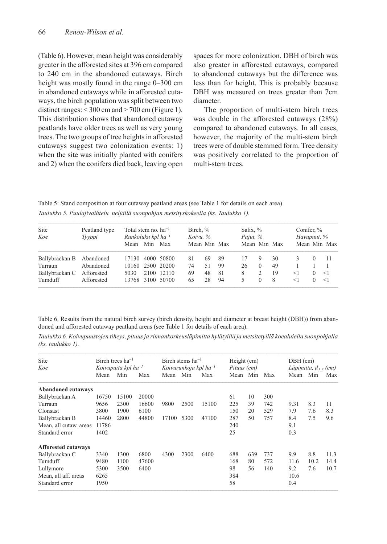(Table 6). However, mean height was considerably greater in the afforested sites at 396 cm compared to 240 cm in the abandoned cutaways. Birch height was mostly found in the range 0–300 cm in abandoned cutaways while in afforested cutaways, the birch population was split between two distinct ranges:  $<$  300 cm and  $>$  700 cm (Figure 1). This distribution shows that abandoned cutaway peatlands have older trees as well as very young trees. The two groups of tree heights in afforested cutaways suggest two colonization events: 1) when the site was initially planted with conifers and 2) when the conifers died back, leaving open spaces for more colonization. DBH of birch was also greater in afforested cutaways, compared to abandoned cutaways but the difference was less than for height. This is probably because DBH was measured on trees greater than 7cm diameter.

The proportion of multi-stem birch trees was double in the afforested cutaways (28%) compared to abandoned cutaways. In all cases, however, the majority of the multi-stem birch trees were of double stemmed form. Tree density was positively correlated to the proportion of multi-stem trees.

Table 5: Stand composition at four cutaway peatland areas (see Table 1 for details on each area) *Taulukko 5. Puulajivaihtelu neljällä suonpohjan metsityskokeella (ks. Taulukko 1).*

| Site<br>Koe    | Peatland type<br>Tyyppi | Total stem no. $ha^{-1}$<br>Runkoluku kpl ha $^{-1}$ |         | Birch, $\%$<br>Koivu, % |              |    |    | Salix, %<br>Pajut, % |          |    | Conifer, %<br>Havupuut, % |  |              |
|----------------|-------------------------|------------------------------------------------------|---------|-------------------------|--------------|----|----|----------------------|----------|----|---------------------------|--|--------------|
|                |                         | Mean                                                 | Min Max |                         | Mean Min Max |    |    | Mean Min Max         |          |    |                           |  | Mean Min Max |
| Ballybrackan B | Abandoned               | 17130                                                |         | 4000 50800              | 81           | 69 | 89 | 17                   | Q.       | 30 |                           |  | -11          |
| Turraun        | Abandoned               |                                                      |         | 10160 2500 20200        | 74           | 51 | 99 | 26                   | $\Omega$ | 49 |                           |  |              |
| Ballybrackan C | Afforested              | 5030                                                 |         | 2100 12110              | 69           | 48 | 81 | 8                    |          | 19 | $<$ 1                     |  | <1           |
| Tumduff        | Afforested              |                                                      |         | 13768 3100 50700        | 65           | 28 | 94 |                      | $\Omega$ | 8  | $<$ 1                     |  | $\leq$ 1     |

Table 6. Results from the natural birch survey (birch density, height and diameter at breast height (DBH)) from abandoned and afforested cutaway peatland areas (see Table 1 for details of each area).

*Taulukko 6. Koivupuustojen tiheys, pituus ja rinnankorkeusläpimitta hylätyillä ja metsitetyillä koealuiella suonpohjalla (ks. taulukko 1).*

| <b>Site</b>                |                          | Birch trees $ha^{-1}$ |       |                             | Birch stems $ha^{-1}$ |       | Height (cm) |     |     | $DBH$ (cm)               |      |      |
|----------------------------|--------------------------|-----------------------|-------|-----------------------------|-----------------------|-------|-------------|-----|-----|--------------------------|------|------|
| Koe                        | Koivupuita kpl $ha^{-1}$ |                       |       | Koivurunkoja kpl ha $^{-1}$ |                       |       | Pituus (cm) |     |     | Läpimitta, $d_{1,3}(cm)$ |      |      |
|                            | Mean                     | Min                   | Max   | Mean                        | Min                   | Max   | Mean        | Min | Max | Mean                     | Min  | Max  |
| <b>Abandoned cutaways</b>  |                          |                       |       |                             |                       |       |             |     |     |                          |      |      |
| Ballybrackan A             | 16750                    | 15100                 | 20000 |                             |                       |       | 61          | 10  | 300 |                          |      |      |
| Turraun                    | 9656                     | 2300                  | 16600 | 9800                        | 2500                  | 15100 | 225         | 39  | 742 | 9.31                     | 8.3  | 11   |
| Clonsast                   | 3800                     | 1900                  | 6100  |                             |                       |       | 150         | 20  | 529 | 7.9                      | 7.6  | 8.3  |
| Ballybrackan B             | 14460                    | 2800                  | 44800 | 17100                       | 5300                  | 47100 | 287         | 50  | 757 | 8.4                      | 7.5  | 9.6  |
| Mean, all cutaw, areas     | 11786                    |                       |       |                             |                       |       | 240         |     |     | 9.1                      |      |      |
| Standard error             | 1402                     |                       |       |                             |                       |       | 25          |     |     | 0.3                      |      |      |
| <b>Afforested cutaways</b> |                          |                       |       |                             |                       |       |             |     |     |                          |      |      |
| Ballybrackan C             | 3340                     | 1300                  | 6800  | 4300                        | 2300                  | 6400  | 688         | 639 | 737 | 9.9                      | 8.8  | 11.3 |
| Tumduff                    | 9480                     | 1100                  | 47600 |                             |                       |       | 168         | 80  | 572 | 11.6                     | 10.2 | 14.4 |
| Lullymore                  | 5300                     | 3500                  | 6400  |                             |                       |       | 98          | 56  | 140 | 9.2                      | 7.6  | 10.7 |
| Mean, all aff. areas       | 6265                     |                       |       |                             |                       |       | 384         |     |     | 10.6                     |      |      |
| Standard error             | 1950                     |                       |       |                             |                       |       | 58          |     |     | 0.4                      |      |      |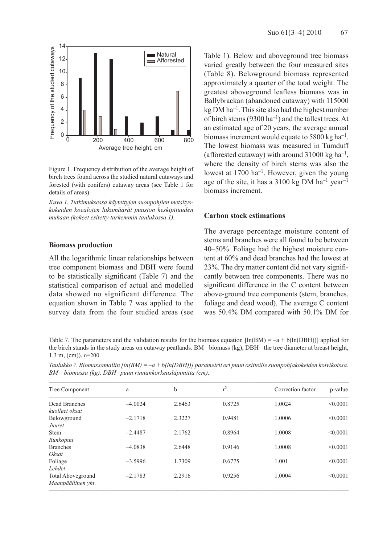

Figure 1. Frequency distribution of the average height of birch trees found across the studied natural cutaways and forested (with conifers) cutaway areas (see Table 1 for details of areas).

*Kuva 1. Tutkimuksessa käytettyjen suonpohjien metsityskokeiden koealojen lukumäärät puuston keskipituuden mukaan (kokeet esitetty tarkemmin taulukossa 1).*

#### **Biomass production**

All the logarithmic linear relationships between tree component biomass and DBH were found to be statistically significant (Table 7) and the statistical comparison of actual and modelled data showed no significant difference. The equation shown in Table 7 was applied to the survey data from the four studied areas (see

Table 1). Below and aboveground tree biomass varied greatly between the four measured sites (Table 8). Belowground biomass represented approximately a quarter of the total weight. The greatest aboveground leafless biomass was in Ballybrackan (abandoned cutaway) with 115000  $kg DM ha^{-1}$ . This site also had the highest number of birch stems (9300 ha<sup>-1</sup>) and the tallest trees. At an estimated age of 20 years, the average annual biomass increment would equate to 5800 kg ha<sup>-1</sup>. The lowest biomass was measured in Tumduff (afforested cutaway) with around  $31000 \text{ kg ha}^{-1}$ , where the density of birch stems was also the lowest at 1700 ha–1. However, given the young age of the site, it has a 3100 kg DM ha<sup>-1</sup> year<sup>-1</sup> biomass increment.

#### **Carbon stock estimations**

The average percentage moisture content of stems and branches were all found to be between 40–50%. Foliage had the highest moisture content at 60% and dead branches had the lowest at 23%. The dry matter content did not vary significantly between tree components. There was no significant difference in the C content between above-ground tree components (stem, branches, foliage and dead wood). The average C content was 50.4% DM compared with 50.1% DM for

Table 7. The parameters and the validation results for the biomass equation  $\ln(BM) = -a + b(\ln(DBH))$  applied for the birch stands in the study areas on cutaway peatlands. BM= biomass (kg), DBH= the tree diameter at breast height, 1.3 m, (cm)). n=200.

*Taulukko 7. Biomassamallin [ln(BM) = –a + b(ln(DBH))] parametrit eri puun ositteille suonpohjakokeiden koivikoissa. BM= biomassa (kg), DBH=puun rinnankorkeusläpimitta (cm).*

| Tree Component                                 | a         | b      | $r^2$  | Correction factor | p-value  |
|------------------------------------------------|-----------|--------|--------|-------------------|----------|
| Dead Branches<br>kuolleet oksat                | $-4.0024$ | 2.6463 | 0.8725 | 1.0024            | < 0.0001 |
| Belowground<br>Juuret                          | $-2.1718$ | 2.3227 | 0.9481 | 1.0006            | < 0.0001 |
| <b>Stem</b><br>Runkopuu                        | $-2.4487$ | 2.1762 | 0.8964 | 1.0008            | < 0.0001 |
| <b>Branches</b><br>Oksat                       | $-4.0838$ | 2.6448 | 0.9146 | 1.0008            | < 0.0001 |
| Foliage<br>Lehdet                              | $-3.5996$ | 1.7309 | 0.6775 | 1.001             | < 0.0001 |
| <b>Total Aboveground</b><br>Maanpäällinen yht. | $-2.1783$ | 2.2916 | 0.9256 | 1.0004            | < 0.0001 |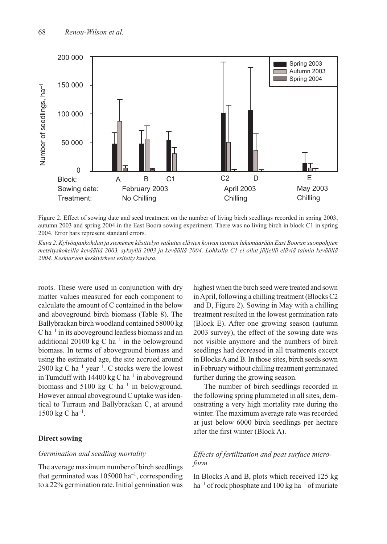

Figure 2. Effect of sowing date and seed treatment on the number of living birch seedlings recorded in spring 2003, autumn 2003 and spring 2004 in the East Boora sowing experiment. There was no living birch in block C1 in spring 2004. Error bars represent standard errors.

*Kuva 2. Kylvöajankohdan ja siemenen käsittelyn vaikutus elävien koivun taimien lukumäärään East Booran suonpohjien metsityskokeilla keväällä 2003, syksyllä 2003 ja keväällä 2004. Lohkolla C1 ei ollut jäljellä eläviä taimia keväällä 2004. Keskiarvon keskivirheet esitetty kuvissa.* 

roots. These were used in conjunction with dry matter values measured for each component to calculate the amount of C contained in the below and aboveground birch biomass (Table 8). The Ballybrackan birch woodland contained 58000 kg  $C$  ha<sup>-1</sup> in its aboveground leafless biomass and an additional 20100 kg C ha<sup>-1</sup> in the belowground biomass. In terms of aboveground biomass and using the estimated age, the site accrued around 2900 kg C ha<sup>-1</sup> year<sup>-1</sup>. C stocks were the lowest in Tumduff with  $14400 \text{ kg C} \text{ ha}^{-1}$  in aboveground biomass and 5100 kg C ha<sup>-1</sup> in belowground. However annual aboveground C uptake was identical to Turraun and Ballybrackan C, at around 1500 kg C ha<sup>-1</sup>.

#### **Direct sowing**

#### *Germination and seedling mortality*

The average maximum number of birch seedlings that germinated was  $105000 \text{ ha}^{-1}$ , corresponding to a 22% germination rate. Initial germination was

highest when the birch seed were treated and sown in April, following a chilling treatment (Blocks C2 and D, Figure 2). Sowing in May with a chilling treatment resulted in the lowest germination rate (Block E). After one growing season (autumn 2003 survey), the effect of the sowing date was not visible anymore and the numbers of birch seedlings had decreased in all treatments except in Blocks A and B. In those sites, birch seeds sown in February without chilling treatment germinated further during the growing season.

The number of birch seedlings recorded in the following spring plummeted in all sites, demonstrating a very high mortality rate during the winter. The maximum average rate was recorded at just below 6000 birch seedlings per hectare after the first winter (Block A).

# *Effects of fertilization and peat surface microform*

In Blocks A and B, plots which received 125 kg  $ha^{-1}$  of rock phosphate and 100 kg ha<sup>-1</sup> of muriate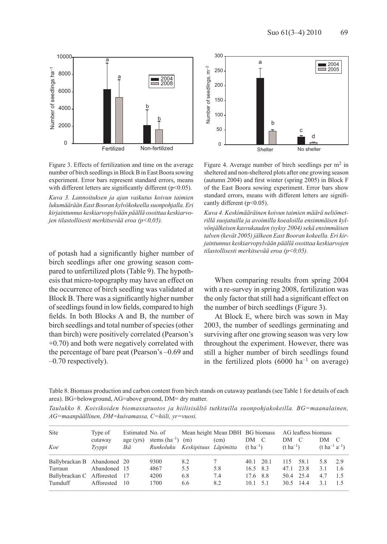

Figure 3. Effects of fertilization and time on the average number of birch seedlings in Block B in East Boora sowing experiment. Error bars represent standard errors, means with different letters are significantly different (p<0.05).

*Kuva 3. Lannoituksen ja ajan vaikutus koivun taimien lukumäärään East Booran kylvökokeella suonpohjalla. Eri kirjaintunnus keskiarvopylvään päällä osoittaa keskiarvojen tilastollisesti merkitsevää eroa (p<0,05).*

of potash had a significantly higher number of birch seedlings after one growing season compared to unfertilized plots (Table 9). The hypothesis that micro-topography may have an effect on the occurrence of birch seedling was validated at Block B. There was a significantly higher number of seedlings found in low fields, compared to high fields. In both Blocks A and B, the number of birch seedlings and total number of species (other than birch) were positively correlated (Pearson's +0.70) and both were negatively correlated with the percentage of bare peat (Pearson's –0.69 and –0.70 respectively).



Figure 4. Average number of birch seedlings per  $m<sup>2</sup>$  in sheltered and non-sheltered plots after one growing season (autumn 2004) and first winter (spring 2005) in Block F of the East Boora sowing experiment. Error bars show standard errors, means with different letters are significantly different (p<0.05).

*Kuva 4. Keskimääräinen koivun taimien määrä neliömetrillä suojatuilla ja avoimilla koealoilla ensimmäisen kylvönjälkeisen kasvukauden (syksy 2004) sekä ensimmäisen talven (kevät 2005) jälkeen East Booran kokeella. Eri kirjaintunnus keskiarvopylvään päällä osoittaa keskiarvojen tilastollisesti merkitsevää eroa (p<0,05).*

When comparing results from spring 2004 with a re-survey in spring 2008, fertilization was the only factor that still had a significant effect on the number of birch seedlings (Figure 3).

At Block E, where birch was sown in May 2003, the number of seedlings germinating and surviving after one growing season was very low throughout the experiment. However, there was still a higher number of birch seedlings found in the fertilized plots  $(6000 \text{ ha}^{-1}$  on average)

Table 8. Biomass production and carbon content from birch stands on cutaway peatlands (see Table 1 for details of each area). BG=belowground, AG=above ground, DM= dry matter.

*Taulukko 8. Koivikoiden biomassatuotos ja hiilisisältö tutkituilla suonpohjakokeilla. BG=maanalainen, AG=maanpäällinen, DM=kuivamassa, C=hiili, yr=vuosi.*

| Site                        | Type of           | Estimated No. of |                                |                              | Mean height Mean DBH BG biomass |                             |      |                             | AG leafless biomass |      |                            |
|-----------------------------|-------------------|------------------|--------------------------------|------------------------------|---------------------------------|-----------------------------|------|-----------------------------|---------------------|------|----------------------------|
| Koe                         | cutaway<br>Tyyppi | age (yrs)<br>Ikä | stems $(ha^{-1})$<br>Runkoluku | (m)<br>Keskipituus Läpimitta | (cm)                            | DM<br>$(t \text{ ha}^{-1})$ | - C  | DM<br>$(t \text{ ha}^{-1})$ | $\mathcal{C}$       | DM C | $(t \, ha^{-1} \, a^{-1})$ |
| Ballybrackan B Abandoned 20 |                   |                  | 9300                           | 8.2                          |                                 | 40.1                        | 20.1 | 115                         | 58.1                | 5.8  | 2.9                        |
| Turraun                     | Abandoned 15      |                  | 4867                           | 5.5                          | 5.8                             | 16.5 8.3                    |      | 47.1                        | 23.8                | 3.1  | -1.6                       |
| Ballybrackan C Afforested   |                   | - 17             | 4200                           | 6.8                          | 7.4                             | 17.6                        | 8.8  | 50.4                        | 25.4                | 4.7  | -1.5                       |
| Tumduff                     | Afforested        | 10               | 1700                           | 6.6                          | 8.2                             | 10.1                        | 51   | 30.5                        | 144                 | 31   | 15                         |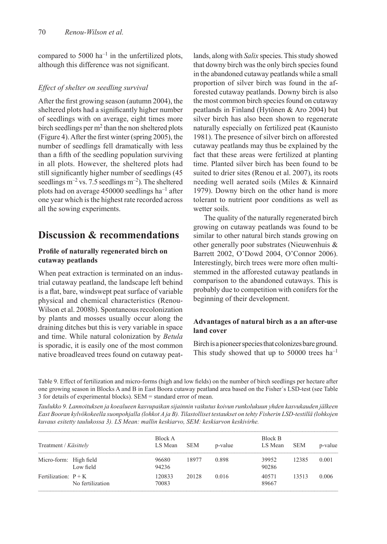compared to 5000  $ha^{-1}$  in the unfertilized plots, although this difference was not significant.

#### *Effect of shelter on seedling survival*

After the first growing season (autumn 2004), the sheltered plots had a significantly higher number of seedlings with on average, eight times more birch seedlings per  $m<sup>2</sup>$  than the non sheltered plots (Figure 4). After the first winter (spring 2005), the number of seedlings fell dramatically with less than a fifth of the seedling population surviving in all plots. However, the sheltered plots had still significantly higher number of seedlings (45 seedlings  $m^{-2}$  vs. 7.5 seedlings  $m^{-2}$ ). The sheltered plots had on average  $450000$  seedlings ha<sup>-1</sup> after one year which is the highest rate recorded across all the sowing experiments.

# **Discussion & recommendations**

# **Profile of naturally regenerated birch on cutaway peatlands**

When peat extraction is terminated on an industrial cutaway peatland, the landscape left behind is a flat, bare, windswept peat surface of variable physical and chemical characteristics (Renou-Wilson et al. 2008b). Spontaneous recolonization by plants and mosses usually occur along the draining ditches but this is very variable in space and time. While natural colonization by *Betula* is sporadic, it is easily one of the most common native broadleaved trees found on cutaway peat-

lands, along with *Salix* species. This study showed that downy birch was the only birch species found in the abandoned cutaway peatlands while a small proportion of silver birch was found in the afforested cutaway peatlands. Downy birch is also the most common birch species found on cutaway peatlands in Finland (Hytönen & Aro 2004) but silver birch has also been shown to regenerate naturally especially on fertilized peat (Kaunisto 1981). The presence of silver birch on afforested cutaway peatlands may thus be explained by the fact that these areas were fertilized at planting time. Planted silver birch has been found to be suited to drier sites (Renou et al. 2007), its roots needing well aerated soils (Miles & Kinnaird 1979). Downy birch on the other hand is more tolerant to nutrient poor conditions as well as wetter soils.

The quality of the naturally regenerated birch growing on cutaway peatlands was found to be similar to other natural birch stands growing on other generally poor substrates (Nieuwenhuis & Barrett 2002, O'Dowd 2004, O'Connor 2006). Interestingly, birch trees were more often multistemmed in the afforested cutaway peatlands in comparison to the abandoned cutaways. This is probably due to competition with conifers for the beginning of their development.

### **Advantages of natural birch as a an after-use land cover**

Birch is a pioneer species that colonizes bare ground. This study showed that up to 50000 trees  $ha^{-1}$ 

Table 9. Effect of fertilization and micro-forms (high and low fields) on the number of birch seedlings per hectare after one growing season in Blocks A and B in East Boora cutaway peatland area based on the Fisher´s LSD-test (see Table 3 for details of experimental blocks). SEM = standard error of mean.

*Taulukko 9. Lannoituksen ja koealueen kasvupaikan sijainnin vaikutus koivun runkolukuun yhden kasvukauden jälkeen East Booran kylvökokeella suonpohjalla (lohkot A ja B). Tilastolliset testaukset on tehty Fisherin LSD-testillä (lohkojen kuvaus esitetty taulukossa 3). LS Mean: mallin keskiarvo, SEM: keskiarvon keskivirhe.*

| Treatment / Käsittely  |                  | Block A<br>LS Mean | <b>SEM</b> | p-value | Block B<br>LS Mean | <b>SEM</b> | p-value |
|------------------------|------------------|--------------------|------------|---------|--------------------|------------|---------|
| Micro-form: High field | Low field        | 96680<br>94236     | 18977      | 0.898   | 39952<br>90286     | 12385      | 0.001   |
| Fertilization: $P + K$ | No fertilization | 120833<br>70083    | 20128      | 0.016   | 40571<br>89667     | 13513      | 0.006   |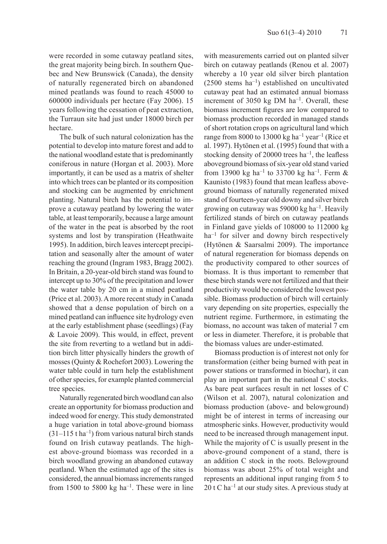were recorded in some cutaway peatland sites, the great majority being birch. In southern Quebec and New Brunswick (Canada), the density of naturally regenerated birch on abandoned mined peatlands was found to reach 45000 to 600000 individuals per hectare (Fay 2006). 15 years following the cessation of peat extraction, the Turraun site had just under 18000 birch per hectare.

The bulk of such natural colonization has the potential to develop into mature forest and add to the national woodland estate that is predominantly coniferous in nature (Horgan et al. 2003). More importantly, it can be used as a matrix of shelter into which trees can be planted or its composition and stocking can be augmented by enrichment planting. Natural birch has the potential to improve a cutaway peatland by lowering the water table, at least temporarily, because a large amount of the water in the peat is absorbed by the root systems and lost by transpiration (Heathwaite 1995). In addition, birch leaves intercept precipitation and seasonally alter the amount of water reaching the ground (Ingram 1983, Bragg 2002). In Britain, a 20-year-old birch stand was found to intercept up to 30% of the precipitation and lower the water table by 20 cm in a mined peatland (Price et al. 2003). A more recent study in Canada showed that a dense population of birch on a mined peatland can influence site hydrology even at the early establishment phase (seedlings) (Fay & Lavoie 2009). This would, in effect, prevent the site from reverting to a wetland but in addition birch litter physically hinders the growth of mosses (Quinty & Rochefort 2003). Lowering the water table could in turn help the establishment of other species, for example planted commercial tree species.

Naturally regenerated birch woodland can also create an opportunity for biomass production and indeed wood for energy. This study demonstrated a huge variation in total above-ground biomass  $(31-115 \t{ t} \text{ ha}^{-1})$  from various natural birch stands found on Irish cutaway peatlands. The highest above-ground biomass was recorded in a birch woodland growing an abandoned cutaway peatland. When the estimated age of the sites is considered, the annual biomass increments ranged from 1500 to 5800 kg ha<sup>-1</sup>. These were in line with measurements carried out on planted silver birch on cutaway peatlands (Renou et al. 2007) whereby a 10 year old silver birch plantation  $(2500 \text{ stems ha}^{-1})$  established on uncultivated cutaway peat had an estimated annual biomass increment of 3050 kg DM  $ha^{-1}$ . Overall, these biomass increment figures are low compared to biomass production recorded in managed stands of short rotation crops on agricultural land which range from 8000 to 13000 kg ha<sup>-1</sup> year<sup>-1</sup> (Rice et al. 1997). Hytönen et al. (1995) found that with a stocking density of 20000 trees ha–1, the leafless aboveground biomass of six-year old stand varied from 13900 kg ha<sup>-1</sup> to 33700 kg ha<sup>-1</sup>. Ferm  $\&$ Kaunisto (1983) found that mean leafless aboveground biomass of naturally regenerated mixed stand of fourteen-year old downy and silver birch growing on cutaway was 59000 kg ha<sup>-1</sup>. Heavily fertilized stands of birch on cutaway peatlands in Finland gave yields of 108000 to 112000 kg  $ha^{-1}$  for silver and downy birch respectively (Hytönen & Saarsalmi 2009). The importance of natural regeneration for biomass depends on the productivity compared to other sources of biomass. It is thus important to remember that these birch stands were not fertilized and that their productivity would be considered the lowest possible. Biomass production of birch will certainly vary depending on site properties, especially the nutrient regime. Furthermore, in estimating the biomass, no account was taken of material 7 cm or less in diameter. Therefore, it is probable that the biomass values are under-estimated.

Biomass production is of interest not only for transformation (either being burned with peat in power stations or transformed in biochar), it can play an important part in the national C stocks. As bare peat surfaces result in net losses of C (Wilson et al. 2007), natural colonization and biomass production (above- and belowground) might be of interest in terms of increasing our atmospheric sinks. However, productivity would need to be increased through management input. While the majority of C is usually present in the above-ground component of a stand, there is an addition C stock in the roots. Belowground biomass was about 25% of total weight and represents an additional input ranging from 5 to 20 t C ha<sup>-1</sup> at our study sites. A previous study at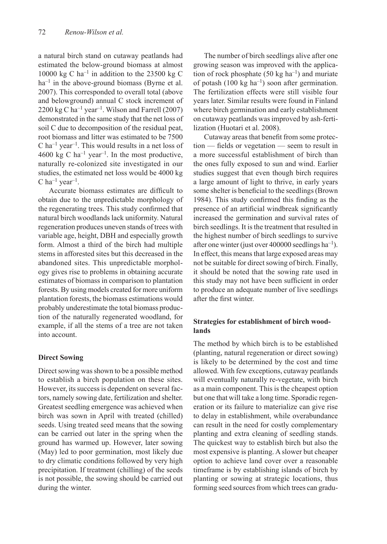a natural birch stand on cutaway peatlands had estimated the below-ground biomass at almost 10000 kg C ha<sup>-1</sup> in addition to the 23500 kg C  $ha^{-1}$  in the above-ground biomass (Byrne et al. 2007). This corresponded to overall total (above and belowground) annual C stock increment of 2200 kg C ha<sup>-1</sup> year<sup>-1</sup>. Wilson and Farrell (2007) demonstrated in the same study that the net loss of soil C due to decomposition of the residual peat, root biomass and litter was estimated to be 7500  $C$  ha<sup>-1</sup> year<sup>-1</sup>. This would results in a net loss of 4600 kg C ha<sup>-1</sup> year<sup>-1</sup>. In the most productive, naturally re-colonized site investigated in our studies, the estimated net loss would be 4000 kg C ha<sup>-1</sup> year<sup>-1</sup>.

Accurate biomass estimates are difficult to obtain due to the unpredictable morphology of the regenerating trees. This study confirmed that natural birch woodlands lack uniformity. Natural regeneration produces uneven stands of trees with variable age, height, DBH and especially growth form. Almost a third of the birch had multiple stems in afforested sites but this decreased in the abandoned sites. This unpredictable morphology gives rise to problems in obtaining accurate estimates of biomass in comparison to plantation forests. By using models created for more uniform plantation forests, the biomass estimations would probably underestimate the total biomass production of the naturally regenerated woodland, for example, if all the stems of a tree are not taken into account.

# **Direct Sowing**

Direct sowing was shown to be a possible method to establish a birch population on these sites. However, its success is dependent on several factors, namely sowing date, fertilization and shelter. Greatest seedling emergence was achieved when birch was sown in April with treated (chilled) seeds. Using treated seed means that the sowing can be carried out later in the spring when the ground has warmed up. However, later sowing (May) led to poor germination, most likely due to dry climatic conditions followed by very high precipitation. If treatment (chilling) of the seeds is not possible, the sowing should be carried out during the winter.

The number of birch seedlings alive after one growing season was improved with the application of rock phosphate  $(50 \text{ kg ha}^{-1})$  and muriate of potash  $(100 \text{ kg ha}^{-1})$  soon after germination. The fertilization effects were still visible four years later. Similar results were found in Finland where birch germination and early establishment on cutaway peatlands was improved by ash-fertilization (Huotari et al. 2008).

Cutaway areas that benefit from some protection — fields or vegetation — seem to result in a more successful establishment of birch than the ones fully exposed to sun and wind. Earlier studies suggest that even though birch requires a large amount of light to thrive, in early years some shelter is beneficial to the seedlings (Brown 1984). This study confirmed this finding as the presence of an artificial windbreak significantly increased the germination and survival rates of birch seedlings. It is the treatment that resulted in the highest number of birch seedlings to survive after one winter (just over 400000 seedlings  $ha^{-1}$ ). In effect, this means that large exposed areas may not be suitable for direct sowing of birch. Finally, it should be noted that the sowing rate used in this study may not have been sufficient in order to produce an adequate number of live seedlings after the first winter.

# **Strategies for establishment of birch woodlands**

The method by which birch is to be established (planting, natural regeneration or direct sowing) is likely to be determined by the cost and time allowed. With few exceptions, cutaway peatlands will eventually naturally re-vegetate, with birch as a main component. This is the cheapest option but one that will take a long time. Sporadic regeneration or its failure to materialize can give rise to delay in establishment, while overabundance can result in the need for costly complementary planting and extra cleaning of seedling stands. The quickest way to establish birch but also the most expensive is planting. A slower but cheaper option to achieve land cover over a reasonable timeframe is by establishing islands of birch by planting or sowing at strategic locations, thus forming seed sources from which trees can gradu-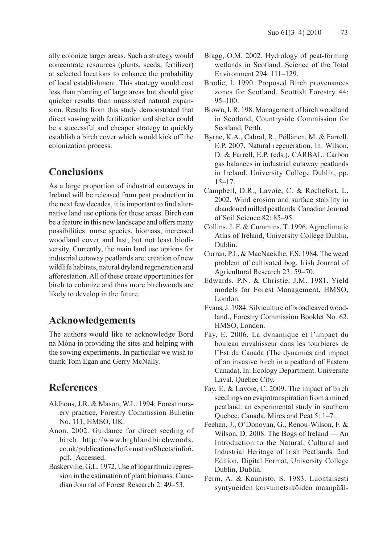ally colonize larger areas. Such a strategy would concentrate resources (plants, seeds, fertilizer) at selected locations to enhance the probability of local establishment. This strategy would cost less than planting of large areas but should give quicker results than unassisted natural expansion. Results from this study demonstrated that direct sowing with fertilization and shelter could be a successful and cheaper strategy to quickly establish a birch cover which would kick off the colonization process.

# **Conclusions**

As a large proportion of industrial cutaways in Ireland will be released from peat production in the next few decades, it is important to find alternative land use options for these areas. Birch can be a feature in this new landscape and offers many possibilities: nurse species, biomass, increased woodland cover and last, but not least biodiversity. Currently, the main land use options for industrial cutaway peatlands are: creation of new wildlife habitats, natural dryland regeneration and afforestation. All of these create opportunities for birch to colonize and thus more birchwoods are likely to develop in the future.

# **Acknowledgements**

The authors would like to acknowledge Bord na Móna in providing the sites and helping with the sowing experiments. In particular we wish to thank Tom Egan and Gerry McNally.

# **References**

- Aldhous, J.R. & Mason, W.L. 1994: Forest nursery practice, Forestry Commission Bulletin No. 111, HMSO, UK.
- Anon. 2002. Guidance for direct seeding of birch. http://www.highlandbirchwoods. co.uk/publications/InformationSheets/info6. pdf. [Accessed.
- Baskerville, G.L. 1972. Use of logarithmic regression in the estimation of plant biomass. Canadian Journal of Forest Research 2: 49–53.
- Bragg, O.M. 2002. Hydrology of peat-forming wetlands in Scotland. Science of the Total Environment 294: 111–129.
- Brodie, I. 1990. Proposed Birch provenances zones for Scotland. Scottish Forestry 44: 95–100.
- Brown, I. R. 198. Management of birch woodland in Scotland, Countryside Commission for Scotland, Perth.
- Byrne, K.A., Cabral, R., Pöllänen, M. & Farrell, E.P. 2007. Natural regeneration. In: Wilson, D. & Farrell, E.P. (eds.). CARBAL. Carbon gas balances in industrial cutaway peatlands in Ireland. University College Dublin, pp. 15–17.
- Campbell, D.R., Lavoie, C. & Rochefort, L. 2002. Wind erosion and surface stability in abandoned milled peatlands. Canadian Journal of Soil Science 82: 85–95.
- Collins, J. F. & Cummins, T. 1996. Agroclimatic Atlas of Ireland, University College Dublin, Dublin.
- Curran, P.L. & MacNaeidhe, F.S. 1984. The weed problem of cultivated bog. Irish Journal of Agricultural Research 23: 59–70.
- Edwards, P.N. & Christie, J.M. 1981. Yield models for Forest Management, HMSO, London.
- Evans, J. 1984. Silviculture of broadleaved woodland., Forestry Commission Booklet No. 62. HMSO, London.
- Fay, E. 2006. La dynamique et l'impact du bouleau envahisseur dans les tourbieres de l'Est du Canada (The dynamics and impact of an invasive birch in a peatland of Eastern Canada). In: Ecology Department. Universite Laval, Quebec City.
- Fay, E. & Lavoie, C. 2009. The impact of birch seedlings on evapotranspiration from a mined peatland: an experimental study in southern Quebec, Canada. Mires and Peat 5: 1–7.
- Feehan, J., O'Donovan, G., Renou-Wilson, F. & Wilson, D. 2008. The Bogs of Ireland — An Introduction to the Natural, Cultural and Industrial Heritage of Irish Peatlands. 2nd Edition, Digital Format, University College Dublin, Dublin.
- Ferm, A. & Kaunisto, S. 1983. Luontaisesti syntyneiden koivumetsiköiden maanpääl-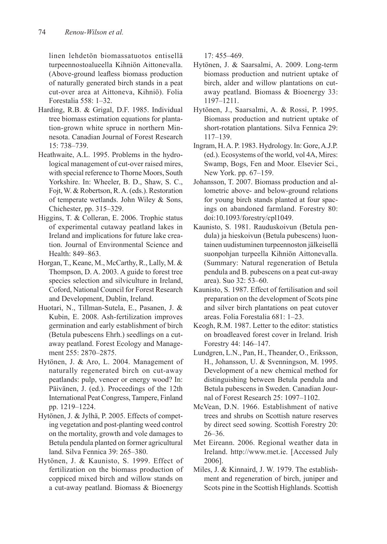linen lehdetön biomassatuotos entisellä turpeennostoalueella Kihniön Aittonevalla. (Above-ground leafless biomass production of naturally generated birch stands in a peat cut-over area at Aittoneva, Kihniö). Folia Forestalia 558: 1–32.

- Harding, R.B. & Grigal, D.F. 1985. Individual tree biomass estimation equations for plantation-grown white spruce in northern Minnesota. Canadian Journal of Forest Research 15: 738–739.
- Heathwaite, A.L. 1995. Problems in the hydrological management of cut-over raised mires, with special reference to Thorne Moors, South Yorkshire. In: Wheeler, B. D., Shaw, S. C., Fojt, W. & Robertson, R. A. (eds.). Restoration of temperate wetlands. John Wiley & Sons, Chichester, pp. 315–329.
- Higgins, T. & Colleran, E. 2006. Trophic status of experimental cutaway peatland lakes in Ireland and implications for future lake creation. Journal of Environmental Science and Health: 849–863.
- Horgan, T., Keane, M., McCarthy, R., Lally, M. & Thompson, D. A. 2003. A guide to forest tree species selection and silviculture in Ireland, Coford, National Council for Forest Research and Development, Dublin, Ireland.
- Huotari, N., Tillman-Sutela, E., Pasanen, J. & Kubin, E. 2008. Ash-fertilization improves germination and early establishment of birch (Betula pubescens Ehrh.) seedlings on a cutaway peatland. Forest Ecology and Management 255: 2870–2875.
- Hytönen, J. & Aro, L. 2004. Management of naturally regenerated birch on cut-away peatlands: pulp, veneer or energy wood? In: Päivänen, J. (ed.). Proceedings of the 12th International Peat Congress, Tampere, Finland pp. 1219–1224.
- Hytönen, J. & Jylhä, P. 2005. Effects of competing vegetation and post-planting weed control on the mortality, growth and vole damages to Betula pendula planted on former agricultural land. Silva Fennica 39: 265–380.
- Hytönen, J. & Kaunisto, S. 1999. Effect of fertilization on the biomass production of coppiced mixed birch and willow stands on a cut-away peatland. Biomass & Bioenergy

17: 455–469.

- Hytönen, J. & Saarsalmi, A. 2009. Long-term biomass production and nutrient uptake of birch, alder and willow plantations on cutaway peatland. Biomass & Bioenergy 33: 1197–1211.
- Hytönen, J., Saarsalmi, A. & Rossi, P. 1995. Biomass production and nutrient uptake of short-rotation plantations. Silva Fennica 29: 117–139.
- Ingram, H. A. P. 1983. Hydrology. In: Gore, A.J.P. (ed.). Ecosystems of the world, vol 4A, Mires: Swamp, Bogs, Fen and Moor. Elsevier Sci., New York. pp. 67–159.
- Johansson, T. 2007. Biomass production and allometric above- and below-ground relations for young birch stands planted at four spacings on abandoned farmland. Forestry 80: doi:10.1093/forestry/cpl1049.
- Kaunisto, S. 1981. Rauduskoivun (Betula pendula) ja hieskoivun (Betula pubescens) luontainen uudistuminen turpeennoston jälkeisellä suonpohjan turpeella Kihniön Aittonevalla. (Summary: Natural regeneration of Betula pendula and B. pubescens on a peat cut-away area). Suo 32: 53–60.
- Kaunisto, S. 1987. Effect of fertilisation and soil preparation on the development of Scots pine and silver birch plantations on peat cutover areas. Folia Forestalia 681: 1–23.
- Keogh, R.M. 1987. Letter to the editor: statistics on broadleaved forest cover in Ireland. Irish Forestry 44: 146–147.
- Lundgren, L.N., Pan, H., Theander, O., Eriksson, H., Johansson, U. & Svenningson, M. 1995. Development of a new chemical method for distinguishing between Betula pendula and Betula pubescens in Sweden. Canadian Journal of Forest Research 25: 1097–1102.
- McVean, D.N. 1966. Establishment of native trees and shrubs on Scottish nature reserves by direct seed sowing. Scottish Forestry 20: 26–36.
- Met Eireann. 2006. Regional weather data in Ireland. http://www.met.ie. [Accessed July 2006].
- Miles, J. & Kinnaird, J. W. 1979. The establishment and regeneration of birch, juniper and Scots pine in the Scottish Highlands. Scottish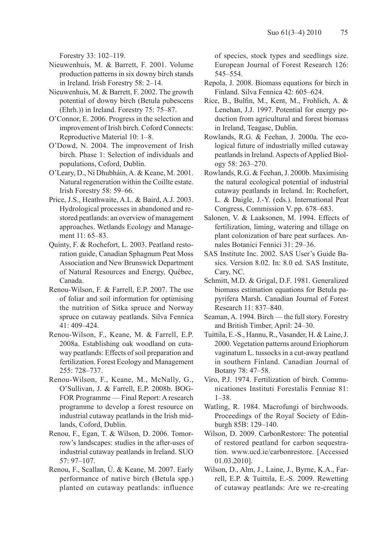Forestry 33: 102–119.

- Nieuwenhuis, M. & Barrett, F. 2001. Volume production patterns in six downy birch stands in Ireland. Irish Forestry 58: 2–14.
- Nieuwenhuis, M. & Barrett, F. 2002. The growth potential of downy birch (Betula pubescens (Ehrh.)) in Ireland. Forestry 75: 75–87.
- O'Connor, E. 2006. Progress in the selection and improvement of Irish birch. Coford Connects: Reproductive Material 10: 1–8.
- O'Dowd, N. 2004. The improvement of Irish birch. Phase 1: Selection of individuals and populations, Coford, Dublin.
- O'Leary, D., Ní Dhubháin, A. & Keane, M. 2001. Natural regeneration within the Coillte estate. Irish Forestry 58: 59–66.
- Price, J.S., Heathwaite, A.L. & Baird, A.J. 2003. Hydrological processes in abandoned and restored peatlands: an overview of management approaches. Wetlands Ecology and Management 11: 65–83.
- Quinty, F. & Rochefort, L. 2003. Peatland restoration guide, Canadian Sphagnum Peat Moss Association and New Brunswick Department of Natural Resources and Energy, Québec, Canada.
- Renou-Wilson, F. & Farrell, E.P. 2007. The use of foliar and soil information for optimising the nutrition of Sitka spruce and Norway spruce on cutaway peatlands. Silva Fennica 41: 409–424.
- Renou-Wilson, F., Keane, M. & Farrell, E.P. 2008a. Establishing oak woodland on cutaway peatlands: Effects of soil preparation and fertilization. Forest Ecology and Management 255: 728–737.
- Renou-Wilson, F., Keane, M., McNally, G., O'Sullivan, J. & Farrell, E.P. 2008b. BOG-FOR Programme — Final Report: A research programme to develop a forest resource on industrial cutaway peatlands in the Irish midlands, Coford, Dublin.
- Renou, F., Egan, T. & Wilson, D. 2006. Tomorrow's landscapes: studies in the after-uses of industrial cutaway peatlands in Ireland. SUO 57: 97–107.
- Renou, F., Scallan, Ú. & Keane, M. 2007. Early performance of native birch (Betula spp.) planted on cutaway peatlands: influence

of species, stock types and seedlings size. European Journal of Forest Research 126: 545–554.

- Repola, J. 2008. Biomass equations for birch in Finland. Silva Fennica 42: 605–624.
- Rice, B., Bulfin, M., Kent, M., Frohlich, A. & Lenehan, J.J. 1997. Potential for energy poduction from agricultural and forest biomass in Ireland, Teagasc, Dublin.
- Rowlands, R.G. & Feehan, J. 2000a. The ecological future of industrially milled cutaway peatlands in Ireland. Aspects of Applied Biology 58: 263–270.
- Rowlands, R.G. & Feehan, J. 2000b. Maximising the natural ecological potential of industrial cutaway peatlands in Ireland. In: Rochefort, L. & Daigle, J.-Y. (eds.). International Peat Congress, Commission V. pp. 678–683.
- Salonen, V. & Laaksonen, M. 1994. Effects of fertilization, liming, watering and tillage on plant colonization of bare peat surfaces. Annales Botanici Fennici 31: 29–36.
- SAS Institute Inc. 2002. SAS User's Guide Basics. Version 8.02. In: 8.0 ed. SAS Institute, Cary, NC.
- Schmitt, M.D. & Grigal, D.F. 1981. Generalized biomass estimation equations for Betula papyrifera Marsh. Canadian Journal of Forest Research 11: 837–840.
- Seaman, A. 1994. Birch the full story. Forestry and British Timber, April: 24–30.
- Tuittila, E.-S., Hannu, R., Vasander, H. & Laine, J. 2000. Vegetation patterns around Eriophorum vaginatum L. tussocks in a cut-away peatland in southern Finland. Canadian Journal of Botany 78: 47–58.
- Viro, P.J. 1974. Fertilization of birch. Communicationes Instituti Forestalis Fenniae 81: 1–38.
- Watling, R. 1984. Macrofungi of birchwoods. Proceedings of the Royal Society of Edinburgh 85B: 129–140.
- Wilson, D. 2009. CarbonRestore: The potential of restored peatland for carbon sequestration. www.ucd.ie/carbonrestore. [Accessed 01.03.2010].
- Wilson, D., Alm, J., Laine, J., Byrne, K.A., Farrell, E.P. & Tuittila, E.-S. 2009. Rewetting of cutaway peatlands: Are we re-creating